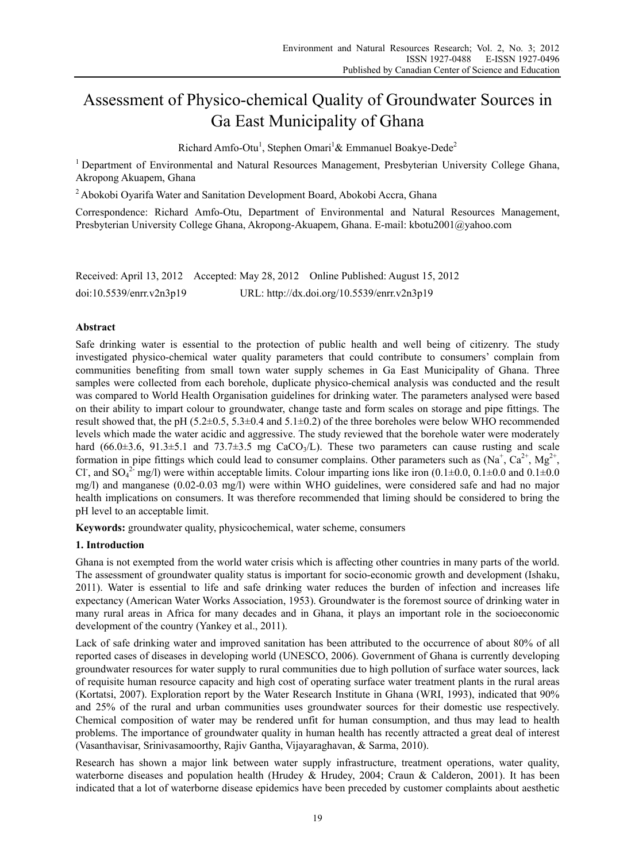# Assessment of Physico-chemical Quality of Groundwater Sources in Ga East Municipality of Ghana

Richard Amfo-Otu<sup>1</sup>, Stephen Omari<sup>1</sup>& Emmanuel Boakye-Dede<sup>2</sup>

<sup>1</sup> Department of Environmental and Natural Resources Management, Presbyterian University College Ghana, Akropong Akuapem, Ghana

2 Abokobi Oyarifa Water and Sanitation Development Board, Abokobi Accra, Ghana

Correspondence: Richard Amfo-Otu, Department of Environmental and Natural Resources Management, Presbyterian University College Ghana, Akropong-Akuapem, Ghana. E-mail: kbotu2001@yahoo.com

|                          | Received: April 13, 2012 Accepted: May 28, 2012 Online Published: August 15, 2012 |
|--------------------------|-----------------------------------------------------------------------------------|
| doi:10.5539/enrr.v2n3p19 | URL: http://dx.doi.org/10.5539/enrr.v2n3p19                                       |

## **Abstract**

Safe drinking water is essential to the protection of public health and well being of citizenry. The study investigated physico-chemical water quality parameters that could contribute to consumers' complain from communities benefiting from small town water supply schemes in Ga East Municipality of Ghana. Three samples were collected from each borehole, duplicate physico-chemical analysis was conducted and the result was compared to World Health Organisation guidelines for drinking water. The parameters analysed were based on their ability to impart colour to groundwater, change taste and form scales on storage and pipe fittings. The result showed that, the pH (5.2 $\pm$ 0.5, 5.3 $\pm$ 0.4 and 5.1 $\pm$ 0.2) of the three boreholes were below WHO recommended levels which made the water acidic and aggressive. The study reviewed that the borehole water were moderately hard (66.0 $\pm$ 3.6, 91.3 $\pm$ 5.1 and 73.7 $\pm$ 3.5 mg CaCO<sub>3</sub>/L). These two parameters can cause rusting and scale formation in pipe fittings which could lead to consumer complains. Other parameters such as  $(Na^+, Ca^{2+}, Mg^{2+},$ Cl<sup>-</sup>, and SO<sub>4</sub><sup>2-</sup> mg/l) were within acceptable limits. Colour imparting ions like iron (0.1±0.0, 0.1±0.0 and 0.1±0.0 mg/l) and manganese (0.02-0.03 mg/l) were within WHO guidelines, were considered safe and had no major health implications on consumers. It was therefore recommended that liming should be considered to bring the pH level to an acceptable limit.

**Keywords:** groundwater quality, physicochemical, water scheme, consumers

## **1. Introduction**

Ghana is not exempted from the world water crisis which is affecting other countries in many parts of the world. The assessment of groundwater quality status is important for socio-economic growth and development (Ishaku, 2011). Water is essential to life and safe drinking water reduces the burden of infection and increases life expectancy (American Water Works Association, 1953). Groundwater is the foremost source of drinking water in many rural areas in Africa for many decades and in Ghana, it plays an important role in the socioeconomic development of the country (Yankey et al., 2011).

Lack of safe drinking water and improved sanitation has been attributed to the occurrence of about 80% of all reported cases of diseases in developing world (UNESCO, 2006). Government of Ghana is currently developing groundwater resources for water supply to rural communities due to high pollution of surface water sources, lack of requisite human resource capacity and high cost of operating surface water treatment plants in the rural areas (Kortatsi, 2007). Exploration report by the Water Research Institute in Ghana (WRI, 1993), indicated that 90% and 25% of the rural and urban communities uses groundwater sources for their domestic use respectively. Chemical composition of water may be rendered unfit for human consumption, and thus may lead to health problems. The importance of groundwater quality in human health has recently attracted a great deal of interest (Vasanthavisar, Srinivasamoorthy, Rajiv Gantha, Vijayaraghavan, & Sarma, 2010).

Research has shown a major link between water supply infrastructure, treatment operations, water quality, waterborne diseases and population health (Hrudey & Hrudey, 2004; Craun & Calderon, 2001). It has been indicated that a lot of waterborne disease epidemics have been preceded by customer complaints about aesthetic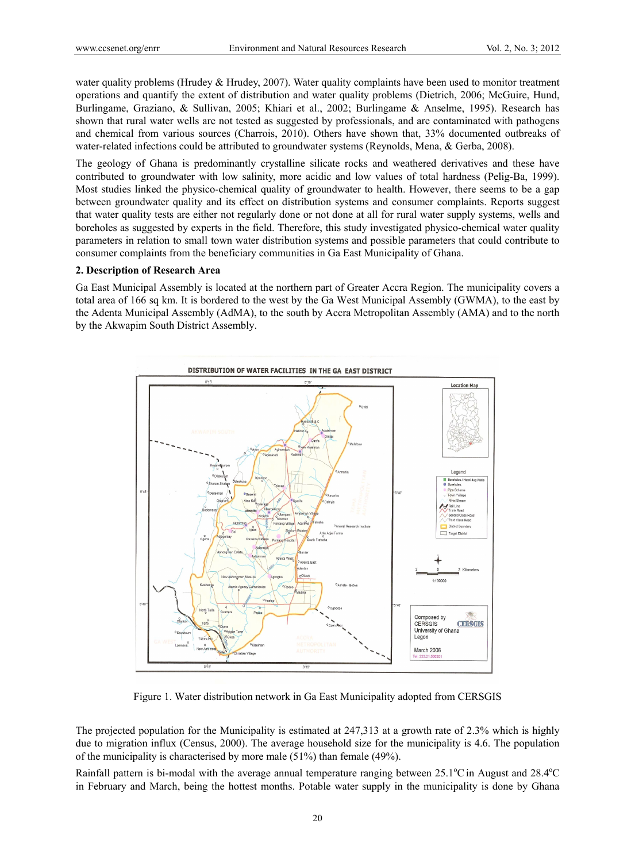water quality problems (Hrudey & Hrudey, 2007). Water quality complaints have been used to monitor treatment operations and quantify the extent of distribution and water quality problems (Dietrich, 2006; McGuire, Hund, Burlingame, Graziano, & Sullivan, 2005; Khiari et al., 2002; Burlingame & Anselme, 1995). Research has shown that rural water wells are not tested as suggested by professionals, and are contaminated with pathogens and chemical from various sources (Charrois, 2010). Others have shown that, 33% documented outbreaks of water-related infections could be attributed to groundwater systems (Reynolds, Mena, & Gerba, 2008).

The geology of Ghana is predominantly crystalline silicate rocks and weathered derivatives and these have contributed to groundwater with low salinity, more acidic and low values of total hardness (Pelig-Ba, 1999). Most studies linked the physico-chemical quality of groundwater to health. However, there seems to be a gap between groundwater quality and its effect on distribution systems and consumer complaints. Reports suggest that water quality tests are either not regularly done or not done at all for rural water supply systems, wells and boreholes as suggested by experts in the field. Therefore, this study investigated physico-chemical water quality parameters in relation to small town water distribution systems and possible parameters that could contribute to consumer complaints from the beneficiary communities in Ga East Municipality of Ghana.

#### **2. Description of Research Area**

Ga East Municipal Assembly is located at the northern part of Greater Accra Region. The municipality covers a total area of 166 sq km. It is bordered to the west by the Ga West Municipal Assembly (GWMA), to the east by the Adenta Municipal Assembly (AdMA), to the south by Accra Metropolitan Assembly (AMA) and to the north by the Akwapim South District Assembly.



Figure 1. Water distribution network in Ga East Municipality adopted from CERSGIS

The projected population for the Municipality is estimated at 247,313 at a growth rate of 2.3% which is highly due to migration influx (Census, 2000). The average household size for the municipality is 4.6. The population of the municipality is characterised by more male (51%) than female (49%).

Rainfall pattern is bi-modal with the average annual temperature ranging between 25.1°C in August and 28.4°C in February and March, being the hottest months. Potable water supply in the municipality is done by Ghana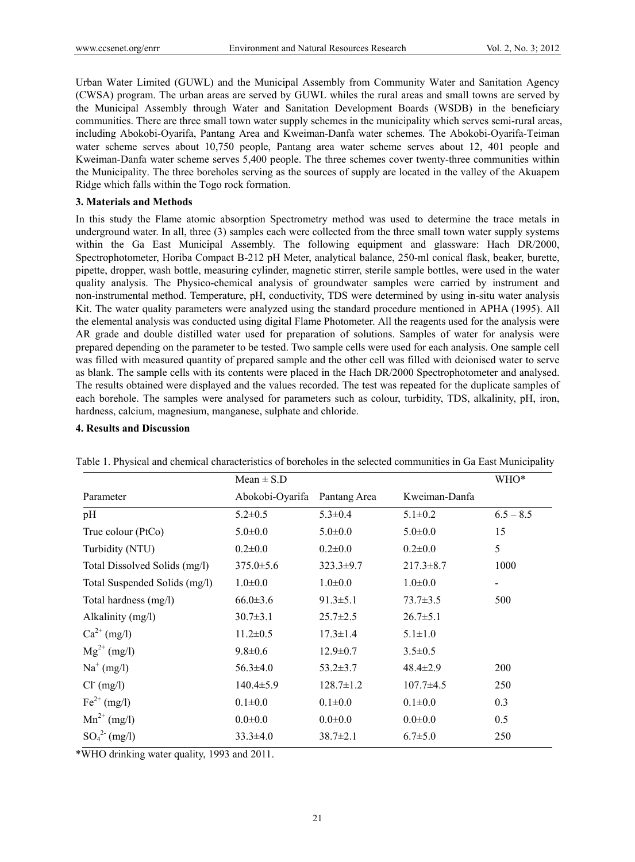Urban Water Limited (GUWL) and the Municipal Assembly from Community Water and Sanitation Agency (CWSA) program. The urban areas are served by GUWL whiles the rural areas and small towns are served by the Municipal Assembly through Water and Sanitation Development Boards (WSDB) in the beneficiary communities. There are three small town water supply schemes in the municipality which serves semi-rural areas, including Abokobi-Oyarifa, Pantang Area and Kweiman-Danfa water schemes. The Abokobi-Oyarifa-Teiman water scheme serves about 10,750 people, Pantang area water scheme serves about 12, 401 people and Kweiman-Danfa water scheme serves 5,400 people. The three schemes cover twenty-three communities within the Municipality. The three boreholes serving as the sources of supply are located in the valley of the Akuapem Ridge which falls within the Togo rock formation.

#### **3. Materials and Methods**

In this study the Flame atomic absorption Spectrometry method was used to determine the trace metals in underground water. In all, three (3) samples each were collected from the three small town water supply systems within the Ga East Municipal Assembly. The following equipment and glassware: Hach DR/2000, Spectrophotometer, Horiba Compact B-212 pH Meter, analytical balance, 250-ml conical flask, beaker, burette, pipette, dropper, wash bottle, measuring cylinder, magnetic stirrer, sterile sample bottles, were used in the water quality analysis. The Physico-chemical analysis of groundwater samples were carried by instrument and non-instrumental method. Temperature, pH, conductivity, TDS were determined by using in-situ water analysis Kit. The water quality parameters were analyzed using the standard procedure mentioned in APHA (1995). All the elemental analysis was conducted using digital Flame Photometer. All the reagents used for the analysis were AR grade and double distilled water used for preparation of solutions. Samples of water for analysis were prepared depending on the parameter to be tested. Two sample cells were used for each analysis. One sample cell was filled with measured quantity of prepared sample and the other cell was filled with deionised water to serve as blank. The sample cells with its contents were placed in the Hach DR/2000 Spectrophotometer and analysed. The results obtained were displayed and the values recorded. The test was repeated for the duplicate samples of each borehole. The samples were analysed for parameters such as colour, turbidity, TDS, alkalinity, pH, iron, hardness, calcium, magnesium, manganese, sulphate and chloride.

#### **4. Results and Discussion**

|                               | $Mean \pm S.D$  |                 | WHO*            |             |
|-------------------------------|-----------------|-----------------|-----------------|-------------|
| Parameter                     | Abokobi-Oyarifa | Pantang Area    | Kweiman-Danfa   |             |
| pH                            | $5.2 \pm 0.5$   | $5.3 \pm 0.4$   | $5.1 \pm 0.2$   | $6.5 - 8.5$ |
| True colour (PtCo)            | $5.0 \pm 0.0$   | $5.0 \pm 0.0$   | $5.0 \pm 0.0$   | 15          |
| Turbidity (NTU)               | $0.2 \pm 0.0$   | $0.2 \pm 0.0$   | $0.2 \pm 0.0$   | 5           |
| Total Dissolved Solids (mg/l) | $375.0 \pm 5.6$ | $323.3 \pm 9.7$ | $217.3 \pm 8.7$ | 1000        |
| Total Suspended Solids (mg/l) | $1.0 \pm 0.0$   | $1.0 \pm 0.0$   | $1.0 \pm 0.0$   |             |
| Total hardness (mg/l)         | $66.0 \pm 3.6$  | $91.3 \pm 5.1$  | $73.7 \pm 3.5$  | 500         |
| Alkalinity (mg/l)             | $30.7 \pm 3.1$  | $25.7 \pm 2.5$  | $26.7 \pm 5.1$  |             |
| $Ca^{2+} (mg/l)$              | $11.2 \pm 0.5$  | $17.3 \pm 1.4$  | $5.1 \pm 1.0$   |             |
| $Mg^{2+} (mg/l)$              | $9.8 \pm 0.6$   | $12.9 \pm 0.7$  | $3.5 \pm 0.5$   |             |
| $Na^+(mg/l)$                  | $56.3 \pm 4.0$  | $53.2 \pm 3.7$  | $48.4 \pm 2.9$  | 200         |
| $Cl^-(mg/l)$                  | $140.4 \pm 5.9$ | $128.7 \pm 1.2$ | $107.7 \pm 4.5$ | 250         |
| $Fe^{2+} (mg/l)$              | $0.1 \pm 0.0$   | $0.1 \pm 0.0$   | $0.1 \pm 0.0$   | 0.3         |
| $Mn^{2+} (mg/l)$              | $0.0 \pm 0.0$   | $0.0 \pm 0.0$   | $0.0 \pm 0.0$   | 0.5         |
| $SO_4^{2-}$ (mg/l)            | $33.3 \pm 4.0$  | $38.7 \pm 2.1$  | $6.7 \pm 5.0$   | 250         |

Table 1. Physical and chemical characteristics of boreholes in the selected communities in Ga East Municipality

\*WHO drinking water quality, 1993 and 2011.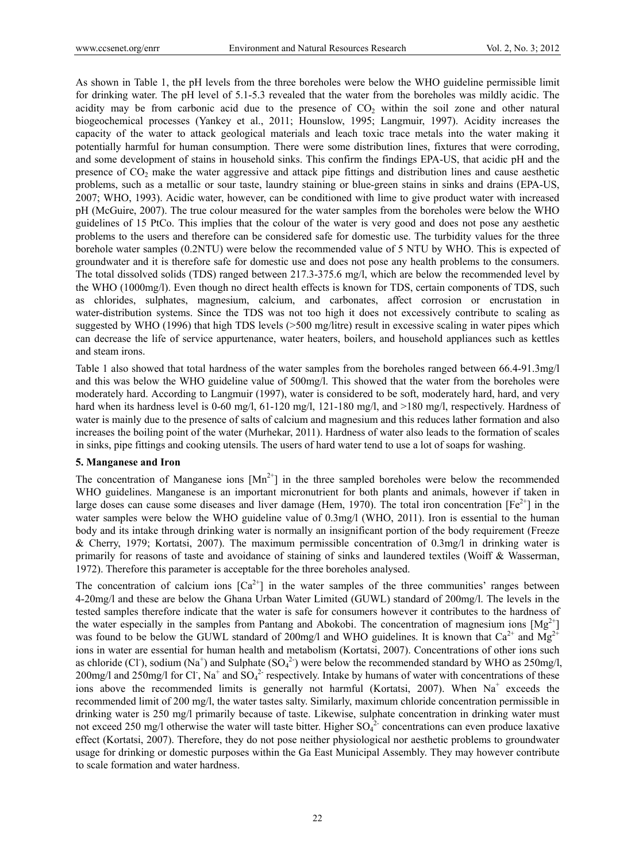As shown in Table 1, the pH levels from the three boreholes were below the WHO guideline permissible limit for drinking water. The pH level of 5.1-5.3 revealed that the water from the boreholes was mildly acidic. The acidity may be from carbonic acid due to the presence of  $CO<sub>2</sub>$  within the soil zone and other natural biogeochemical processes (Yankey et al., 2011; Hounslow, 1995; Langmuir, 1997). Acidity increases the capacity of the water to attack geological materials and leach toxic trace metals into the water making it potentially harmful for human consumption. There were some distribution lines, fixtures that were corroding, and some development of stains in household sinks. This confirm the findings EPA-US, that acidic pH and the presence of  $CO<sub>2</sub>$  make the water aggressive and attack pipe fittings and distribution lines and cause aesthetic problems, such as a metallic or sour taste, laundry staining or blue-green stains in sinks and drains (EPA-US, 2007; WHO, 1993). Acidic water, however, can be conditioned with lime to give product water with increased pH (McGuire, 2007). The true colour measured for the water samples from the boreholes were below the WHO guidelines of 15 PtCo. This implies that the colour of the water is very good and does not pose any aesthetic problems to the users and therefore can be considered safe for domestic use. The turbidity values for the three borehole water samples (0.2NTU) were below the recommended value of 5 NTU by WHO. This is expected of groundwater and it is therefore safe for domestic use and does not pose any health problems to the consumers. The total dissolved solids (TDS) ranged between 217.3-375.6 mg/l, which are below the recommended level by the WHO (1000mg/l). Even though no direct health effects is known for TDS, certain components of TDS, such as chlorides, sulphates, magnesium, calcium, and carbonates, affect corrosion or encrustation in water-distribution systems. Since the TDS was not too high it does not excessively contribute to scaling as suggested by WHO (1996) that high TDS levels (>500 mg/litre) result in excessive scaling in water pipes which can decrease the life of service appurtenance, water heaters, boilers, and household appliances such as kettles and steam irons.

Table 1 also showed that total hardness of the water samples from the boreholes ranged between 66.4-91.3mg/l and this was below the WHO guideline value of 500mg/l. This showed that the water from the boreholes were moderately hard. According to Langmuir (1997), water is considered to be soft, moderately hard, hard, and very hard when its hardness level is 0-60 mg/l, 61-120 mg/l, 121-180 mg/l, and >180 mg/l, respectively. Hardness of water is mainly due to the presence of salts of calcium and magnesium and this reduces lather formation and also increases the boiling point of the water (Murhekar, 2011). Hardness of water also leads to the formation of scales in sinks, pipe fittings and cooking utensils. The users of hard water tend to use a lot of soaps for washing.

#### **5. Manganese and Iron**

The concentration of Manganese ions  $[Mn^{2+}]$  in the three sampled boreholes were below the recommended WHO guidelines. Manganese is an important micronutrient for both plants and animals, however if taken in large doses can cause some diseases and liver damage (Hem, 1970). The total iron concentration  $[Fe^{2+}]$  in the water samples were below the WHO guideline value of 0.3mg/l (WHO, 2011). Iron is essential to the human body and its intake through drinking water is normally an insignificant portion of the body requirement (Freeze & Cherry, 1979; Kortatsi, 2007). The maximum permissible concentration of 0.3mg/l in drinking water is primarily for reasons of taste and avoidance of staining of sinks and laundered textiles (Woiff & Wasserman, 1972). Therefore this parameter is acceptable for the three boreholes analysed.

The concentration of calcium ions  $[Ca^{2+}]$  in the water samples of the three communities' ranges between 4-20mg/l and these are below the Ghana Urban Water Limited (GUWL) standard of 200mg/l. The levels in the tested samples therefore indicate that the water is safe for consumers however it contributes to the hardness of the water especially in the samples from Pantang and Abokobi. The concentration of magnesium ions  $[Mg^{2+}]$ was found to be below the GUWL standard of 200mg/l and WHO guidelines. It is known that  $Ca^{2+}$  and  $Mg^{2+}$ ions in water are essential for human health and metabolism (Kortatsi, 2007). Concentrations of other ions such as chloride (Cl<sup>-</sup>), sodium (Na<sup>+</sup>) and Sulphate (SO<sub>4</sub><sup>2</sup>) were below the recommended standard by WHO as 250mg/l, 200mg/l and 250mg/l for Cl<sup>-</sup>, Na<sup>+</sup> and  $SO_4^2$ <sup>-</sup> respectively. Intake by humans of water with concentrations of these ions above the recommended limits is generally not harmful (Kortatsi, 2007). When Na<sup>+</sup> exceeds the recommended limit of 200 mg/l, the water tastes salty. Similarly, maximum chloride concentration permissible in drinking water is 250 mg/l primarily because of taste. Likewise, sulphate concentration in drinking water must not exceed 250 mg/l otherwise the water will taste bitter. Higher  $SO_4^2$ - concentrations can even produce laxative effect (Kortatsi, 2007). Therefore, they do not pose neither physiological nor aesthetic problems to groundwater usage for drinking or domestic purposes within the Ga East Municipal Assembly. They may however contribute to scale formation and water hardness.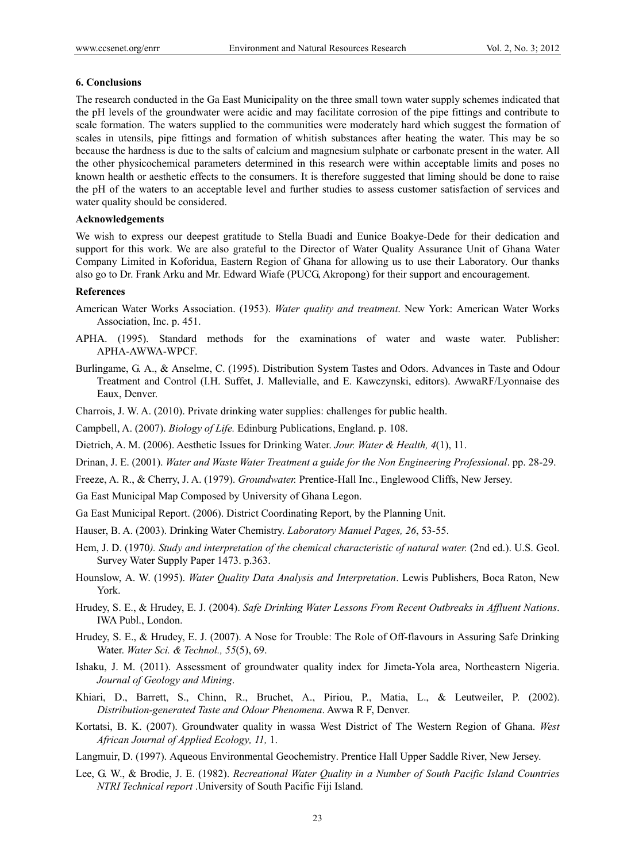#### **6. Conclusions**

The research conducted in the Ga East Municipality on the three small town water supply schemes indicated that the pH levels of the groundwater were acidic and may facilitate corrosion of the pipe fittings and contribute to scale formation. The waters supplied to the communities were moderately hard which suggest the formation of scales in utensils, pipe fittings and formation of whitish substances after heating the water. This may be so because the hardness is due to the salts of calcium and magnesium sulphate or carbonate present in the water. All the other physicochemical parameters determined in this research were within acceptable limits and poses no known health or aesthetic effects to the consumers. It is therefore suggested that liming should be done to raise the pH of the waters to an acceptable level and further studies to assess customer satisfaction of services and water quality should be considered.

### **Acknowledgements**

We wish to express our deepest gratitude to Stella Buadi and Eunice Boakye-Dede for their dedication and support for this work. We are also grateful to the Director of Water Quality Assurance Unit of Ghana Water Company Limited in Koforidua, Eastern Region of Ghana for allowing us to use their Laboratory. Our thanks also go to Dr. Frank Arku and Mr. Edward Wiafe (PUCG, Akropong) for their support and encouragement.

#### **References**

- American Water Works Association. (1953). *Water quality and treatment*. New York: American Water Works Association, Inc. p. 451.
- APHA. (1995). Standard methods for the examinations of water and waste water. Publisher: APHA-AWWA-WPCF.
- Burlingame, G. A., & Anselme, C. (1995). Distribution System Tastes and Odors. Advances in Taste and Odour Treatment and Control (I.H. Suffet, J. Mallevialle, and E. Kawczynski, editors). AwwaRF/Lyonnaise des Eaux, Denver.
- Charrois, J. W. A. (2010). Private drinking water supplies: challenges for public health.
- Campbell, A. (2007). *Biology of Life.* Edinburg Publications, England. p. 108.
- Dietrich, A. M. (2006). Aesthetic Issues for Drinking Water. *Jour. Water & Health, 4*(1), 11.
- Drinan, J. E. (2001). *Water and Waste Water Treatment a guide for the Non Engineering Professional*. pp. 28-29.
- Freeze, A. R., & Cherry, J. A. (1979). *Groundwater.* Prentice-Hall Inc., Englewood Cliffs, New Jersey.
- Ga East Municipal Map Composed by University of Ghana Legon.
- Ga East Municipal Report. (2006). District Coordinating Report, by the Planning Unit.
- Hauser, B. A. (2003). Drinking Water Chemistry. *Laboratory Manuel Pages, 26*, 53-55.
- Hem, J. D. (1970*). Study and interpretation of the chemical characteristic of natural water.* (2nd ed.). U.S. Geol. Survey Water Supply Paper 1473. p.363.
- Hounslow, A. W. (1995). *Water Quality Data Analysis and Interpretation*. Lewis Publishers, Boca Raton, New York.
- Hrudey, S. E., & Hrudey, E. J. (2004). *Safe Drinking Water Lessons From Recent Outbreaks in Affluent Nations*. IWA Publ., London.
- Hrudey, S. E., & Hrudey, E. J. (2007). A Nose for Trouble: The Role of Off-flavours in Assuring Safe Drinking Water. *Water Sci. & Technol., 55*(5), 69.
- Ishaku, J. M. (2011). Assessment of groundwater quality index for Jimeta-Yola area, Northeastern Nigeria. *Journal of Geology and Mining*.
- Khiari, D., Barrett, S., Chinn, R., Bruchet, A., Piriou, P., Matia, L., & Leutweiler, P. (2002). *Distribution-generated Taste and Odour Phenomena*. Awwa R F, Denver.
- Kortatsi, B. K. (2007). Groundwater quality in wassa West District of The Western Region of Ghana. *West African Journal of Applied Ecology, 11,* 1.
- Langmuir, D. (1997). Aqueous Environmental Geochemistry. Prentice Hall Upper Saddle River, New Jersey.
- Lee, G. W., & Brodie, J. E. (1982). *Recreational Water Quality in a Number of South Pacific Island Countries NTRI Technical report* .University of South Pacific Fiji Island.